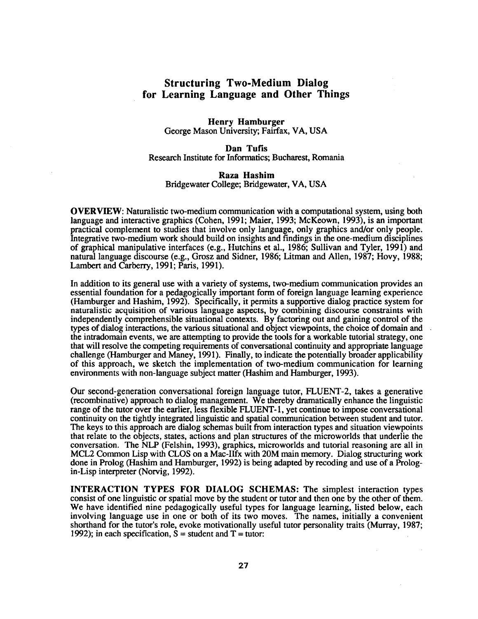## **Structuring Two-Medium Dialog for Learning Language and Other Things**

## **Henry Hamburger**  George Mason University; Fairfax, VA, USA

Dan Tufis Research Institute for Informatics; Bucharest, Romania

## **Raza Hashim**  Bridgewater College; Bridgewater, VA, USA

**OVERVIEW:** Naturalistic two-medium communication with a computational system, using both language and interactive graphics (Cohen, 1991; Maier, 1993; McKeown, 1993), is an important practical complement to studies that involve only language, only graphics and/or only people. Integrative two-medium work should build on insights and findings in the one-medium disciplines of graphical manipulative interfaces (e.g., Hutchins et al., 1986; Sullivan and Tyler, 1991) and natural language discourse (e.g., Grosz and Sidner, 1986; Litman and Allen, 1987; Hovy, 1988; Lambert and Carberry, 1991; Paris, 1991).

In addition to its general use with a variety of systems, two-medium communication provides an essential foundation for a pedagogically important form of foreign language learning experience (Hamburger and Hashim, 1992). Specifically, it permits a supportive dialog practice system for naturalistic acquisition of various language aspects, by combining discourse constraints with independently comprehensible situational contexts. By factoring out and gaining control of the types of dialog interactions, the various situational and object viewpoints, the choice of domain and the intradomain events, we are attempting to provide the tools for a workable tutorial strategy, one that will resolve the competing requirements of conversational continuity and appropriate language challenge (Hamburger and Maney, 1991). Finally, to indicate the potentially broader applicability of this approach, we sketch the implementation of two-medium communication for learning environments with non-language subject matter (Hashim and Hamburger, 1993).

Our second-generation conversational foreign language tutor, FLUENT-2, takes a generative (recombinative) approach to dialog management. We thereby dramatically enhance the linguistic range of the tutor over the earlier, less flexible FLUENT- 1, yet continue to impose conversational continuity on the tightly integrated linguistic and spatial communication between student and tutor. The keys to this approach are dialog schemas built from interaction types and situation viewpoints that relate to the objects, states, actions and plan structures of the microworlds that underlie the conversation. The NLP (Felshin, 1993), graphics, microworlds and tutorial reasoning are all in MCL2 Common Lisp with CLOS on a Mac-Ilfx with 20M main memory. Dialog structuring work done in Prolog (Hashim and Hamburger, 1992) is being adapted by recoding and use of a Prologin-Lisp interpreter (Norvig, 1992).

**INTERACTION TYPES FOR DIALOG SCHEMAS:** The simplest interaction types consist of one linguistic or spatial move by the student or tutor and then one by the other of them. We have identified nine pedagogically useful types for language learning, listed below, each involving language use in one or both of its two moves. The names, initially a convenient shorthand for the tutor's role, evoke motivationally useful tutor personality traits (Murray, 1987; 1992); in each specification,  $S =$  student and  $T =$  tutor: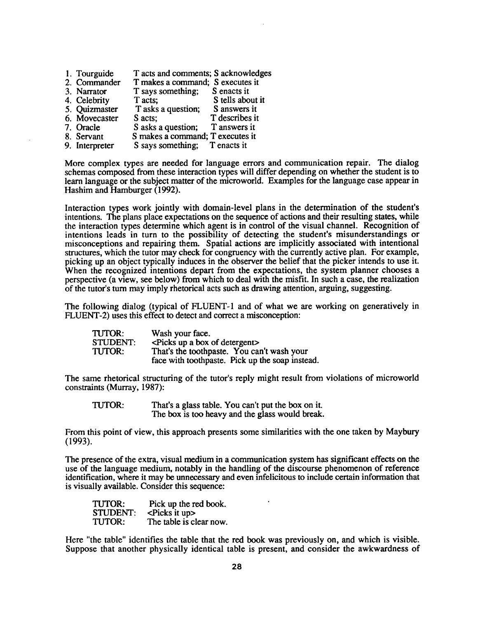| 1. Tourguide   | T acts and comments; S acknowledges |                  |
|----------------|-------------------------------------|------------------|
| 2. Commander   | T makes a command; S executes it    |                  |
| 3. Narrator    | T says something; S enacts it       |                  |
| 4. Celebrity   | T acts;                             | S tells about it |
| 5. Quizmaster  | T asks a question;                  | S answers it     |
| 6. Movecaster  | S acts;                             | T describes it   |
| 7. Oracle      | S asks a question;                  | T answers it     |
| 8. Servant     | S makes a command; T executes it    |                  |
| 9. Interpreter | S says something; T enacts it       |                  |

More complex types are needed for language errors and communication repair. The dialog schemas composed from these interaction types will differ depending on whether the student is to learn language or the subject matter of the microworld. Examples for the language case appear in Hashim and Hamburger (1992).

Interaction types work jointly with domain-level plans in the determination of the student's intentions. The plans place expectations on the sequence of actions and their resulting states, while the interaction types determine which agent is in control of the visual channel. Recognition of intentions leads in turn to the possibility of detecting the student's misunderstandings or misconceptions and repainng them. Spatial actions are implicitly associated with intentional structures, which the tutor may check for congruency with the currently active plan. For example, picking up an object typically induces in the observer the belief that the picker intends to use it. When the recognized intentions depart from the expectations, the system planner chooses a perspective (a view, see below) from which to deal with the misfit. In such a case, the realization of the tutor's turn may imply rhetorical acts such as drawing attention, arguing, suggesting.

The following dialog (typical of FLUENT-1 and of what we are working on generatively in FLUENT-2) uses this effect to detect and correct a misconception:

| TUTOR:          | Wash your face.                                 |  |
|-----------------|-------------------------------------------------|--|
| <b>STUDENT:</b> | <br>Picks up a box of detergent>                |  |
| <b>TUTOR:</b>   | That's the toothpaste. You can't wash your      |  |
|                 | face with toothpaste. Pick up the soap instead. |  |

The same rhetorical structuring of the tutor's reply might result from violations of microworld constraints (Murray, 1987):

TUTOR: That's a glass table. You can't put the box on it. The box is too heavy and the glass would break.

From this point of view, this approach presents some similarities with the one taken by Maybury (1993).

The presence of the extra, visual medium in a communication system has significant effects on the use of the language medium, notably in the handling of the discourse phenomenon of reference identification, where it may be unnecessary and even infelicitous to include certain information that is visually available. Consider this sequence:

| TUTOR:          | Pick up the red book.   |
|-----------------|-------------------------|
| <b>STUDENT:</b> | $\leq$ Picks it up $>$  |
| TUTOR:          | The table is clear now. |

Here "the table" identifies the table that the red book was previously on, and which is visible. Suppose that another physically identical table is present, and consider the awkwardness of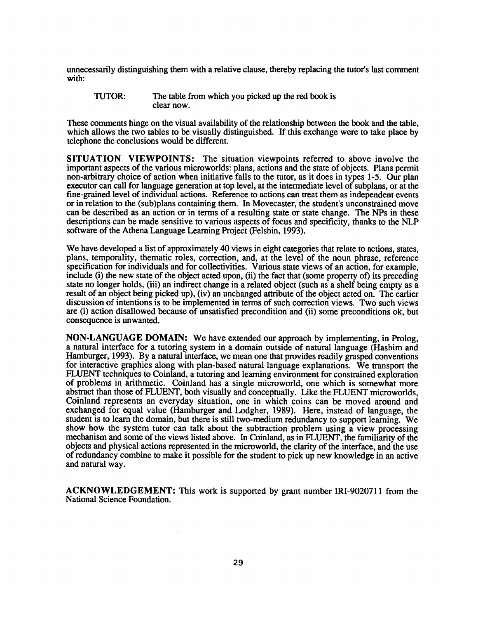unnecessarily distinguishing them with a relative clause, thereby replacing the tutor's last comment with:

TUTOR: The table from which you picked up the red book is clear now.

These comments hinge on the visual availability of the relationship between the book and the table, which allows the two tables to be visually distinguished. If this exchange were to take place by telephone the conclusions would be different.

**SITUATION VIEWPOINTS:** The situation viewpoints referred to above involve the important aspects of the various microworlds: plans, actions and the state of objects. Plans permit non-arbitrary choice of action when initiative falls to the tutor, as it does in types 1-5. Our plan executor can call for language generation at top level, at the intermediate level of subplans, or at the fine-grained level of individual actions. Reference to actions can treat them as independent events or in relation to the (sub)plans containing them. In Movecaster, the student's unconstrained move can be described as an action or in terms of a resulting state or state change. The NPs in these descriptions can be made sensitive to various aspects of focus and specificity, thanks to the NLP software of the Athena Language Learning Project (Felshin, 1993).

We have developed a list of approximately 40 views in eight categories that relate to actions, states, plans, temporality, thematic roles, correction, and, at the level of the noun phrase, reference specification for individuals and for collectivities. Various state views of an action, for example, include (i) the new state of the object acted upon, (ii) the fact that (some property of) its preceding state no longer holds, (iii) an indirect change in a related object (such as a shelf being empty as a result of an object being picked up), (iv) an unchanged attribute of the object acted on. The earlier discussion of intentions is to be implemented in terms of such correction views. Two such views are (i) action disallowed because of unsatisfied precondition and (ii) some preconditions ok, but consequence is unwanted.

NON-LANGUAGE DOMAIN: We have extended our approach by implementing, in Prolog, a natural interface for a tutoring system in a domain outside of natural language (Hashim and Hamburger, 1993). By a natural interface, we mean one that provides readily grasped conventions for interactive graphics along with plan-based natural language explanations. We transport the FLUENT techniques to Coinland, a tutoring and learning environment for constrained exploration of problems in arithmetic. Coinland has a single microworld, one which is somewhat more abstract than those of FLUENT, both visually and conceptually. Like the FLUENT microworlds, Coinland represents an everyday situation, one in which coins can be moved around and exchanged for equal value (Hamburger and Lodgher, 1989). Here, instead of language, the student is to learn the domain, but there is still two-medium redundancy to support learning. We show how the system tutor can talk about the subtraction problem using a view processing mechanism and some of the views listed above. In Coinland, as in FLUENT, the familiarity of the objects and physical actions represented in the microworld, the clarity of the interface, and the use of redundancy combine to make it possible for the student to pick up new knowledge in an active and natural way.

ACKNOWLEDGEMENT: This work is supported by grant number IRI-9020711 from the National Science Foundation.